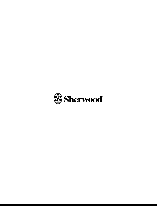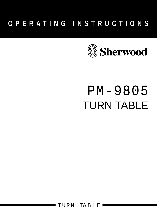# **OPERATING INSTRUCTIONS**



# PM-9805 TURN TABLE

TURN TABLE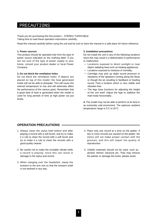#### PRECAUTIONS

Thank you for purchasing this fine product – STEREO TURNTABLE. Taking time to read these operation instructions carefully.

Read this manual carefully before using the unit and be sure to store the manual in a safe place for future reference.

#### **1. Power sources**

This product should be operated only from the type of power source indicated on the marking label. If you are not sure of the type of power supply to your home, consult your product dealer or local Power Company.

#### **2. Do not block the ventilation holes**

Do not block the ventilation holes. If objects are placed on top of this model, the heat generated inside will not be able to dissipate. This will cause the internal temperature to rise and will adversely affect the performance of the various parts. Remember that a great deal of heat is generated when the model is used for long periods of time at high power out put levels.

#### **3. Installation precautions**

Do not install the unit in any of the following locations since this may result in a deterioration in performance or malfunction:

- Locations exposed to direct sunlight or near object radiating heat such as heating appliances.
- Locations exposed to moisture or humidity.
- Cartridge may pick up slight sound pressure or vibrations of the speakers coming along the floow or though the air resulting in feedback or howling sound. Find a location which is very stable and vibration free.
- The legs have functions for adjusting the height of the unit itself. Adjust the legs to stabilize the main body horizontally..

**4.** The model may not be able to perform at its best in an extremely cold envirnment. The optimum ambient temperature range is  $0^{\circ}$ C to 35 $^{\circ}$ C.

#### **OPERATION PRECAUTIONS**

- 1. Always clean the stylus both before and after playing a record with a soft brush, and try to make it a rule to clean the record with a soft brush and try to make it a rule to clean the records with a good quality cleaner.
- 2. Be careful not to make the turntable vibrate while a record is playing, since this can result in damage to the stylus and record.
- 3. When clanging over the headshell, clamp the tonearm to the arm rest so that the tonearm shaft is not strained in any way.
- 4. Place only one record at a time on the platter. If two or more records are sacked on the platter, the stylus will not make proper contact with the grooves, and this will impair the quality of reproduction.
- 5. Volatile materials should not be used, such as : alcohol, thinner, benzone etc. They may remove the painter or damage the lustre, please avoid.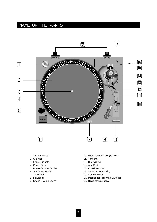# NAME OF THE PARTS



- 1. 45-rpm Adaptor
- 2. Slip Mat
- 3. Center Spindle
- 4. Strobe Dots
- 5. Power Switch / Strobe
- 6. Start/Stop Button
- 7. Taget Light
- 8. Headshell
- 9. Speed Select Buttons
- 10. Pitch Control Slider (+/– 10%)
- 11. Tonearm
- 12. Cueing Lever
- 13. Arm Rest
- 14. Anti-skate Knob
- 15. Stylus-Pressure Ring
- 16. Counterweight
- 17. Position for Preparing Cartridge
- 18. Hinge for Dust Cover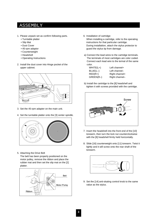# ASSEMBLY

- 1. Please unpack set as confirm following parts.
	- Turntable platter
	- Slip Mat
	- Dust Cover
	- 45-rpm adaptor
	- Counterweight
	- Headshell
	- Operating Instructions
- 2. Install the dust cover into Hinge pocket of the upper cabinet.



- 3. Set the 45-rpm adapter on the main unit.
- 4. Set the turntable platter onto the [3] center spindle.



5. Attaching the Drive Belt

The belt has been properly positioned on the motor pulley, remove the ribbon and place the rubber mat and then set the slip mat on the [2] platter.



6. Installation of cartridge:

When installing a cartridge, refer to the operating instructions for that particular cartridge. During installatiion, attach the stylus protector to guard the stylus tip from damage.

a) Connect the lead wires to the cartridge terminals. The terminals of most cartridges are color coded. Connect each lead wire to the terinal of the same color.

| $WHITE(L+)$ | Left channel+  |
|-------------|----------------|
| $BLUE(L-)$  | Left channel-  |
| $RED(R+)$   | Right channel+ |
| $GREEN(R-)$ | Right channel- |

b) Install the cartridge to the [8] headshell and tighten it with screws provided with the cartridge.



- 7. Insert the headshell into the front end of the [10] tonearm, then turn the lock nut counterclockwise with the [8] headshell firmly held horizontally.
- 8. Slide [16] counterweight onto [11] tonearm. Twist it lightly and it will screw onto the rear shaft of the tonearm.



9. Set the [14] anti-skating control knob to the same value as the stylus.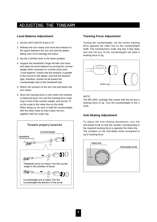# ADJUSTING THE TONEARM

#### **Level Balance Adjustment**

- 1. Set the ANTI-SKATE knob to "0".
- 2. Release the arm clamp and move the tonearm to the space between the arm rest and the platter, taking care not to damage the stylus.
- 3. Set the CUEING lever to the down position.
- 4. Support the headshell's finger-lift with one hand and attain the level balance by turning the counterweight either clockwise or counter-clock wise. "Level balance" means that the tonearm is parallel to the record on the platter, and that the tonearm pipe, therefore, should not tilt toward the counterweight side or the headshell side.
- 5. Return the tonearm to the arm rest and fasten the arm clamp.
- 6. Since the tracking force is zero when the tonearm is balanced level, turn just the tracking-foce scale ring in front of the counter-weight, and set the "0" on the scale to the index line on the shaft. When doing so, be sure to hold the counterweight with the other hand so that it does not turn together with the scale ring.



#### **Tracking Force Adjustment**

Turning the counterweight, set the correct tracking force opposite the index line on the counterweight shaft. The tracking-force scale ring has 0.25g steps and one full turn of the counterweight will yield a tracking force of 3g.



#### NOTE:

The MG-2831 cartridge that comes with the set has a tracking force of 2g. Turn the counterweight to the 2 mark.

#### **Anti-Skating Adjustment**

To adjust the Anti-skating mechanism, turn the Anti-Skate Knob so that the number corresponding to the required tracking force is opposite the index line. The numbers on the Anti-Skate Knob correspond to 1g of tracking force.

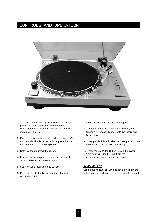# CONTROLS AND OPERATION



- 1. Turn the (On/Off Switch) clockwise to turn on the power, the speed indicator and the strobeilluminator, which is located beneath the On/Off switch, will light up.
- 2. Place a record on the slip mat. When playing a 45 rpm record with a large center hole, place the 45 rpm adapter on the center spindle.
- 3. Set the speed to match the record.
- 4. Remove the stylus protector from the Headshell Stylus, release the Tonearm clamp.
- 5. Set the cueing lever to the up position.
- 6. Press the Start/Stop Button, the turntable platter will start to rotate.
- 7. Move the tonearm over he desired groove.
- 8. Set the cueing lever to the down position, the tonearm will descend slowly onto the record and begin playing.
- 9. When play is finished, raise the cueing lever, move the tonearm onto the Tonearm clamp.
- 10. Press the Start/Stop Button to stop the platter from rotating. Turn the On/Off Switch counterclockwise to turn off the power.

#### **SUSPEND PLAY**

Set the cueing lever to "UP" position during play, the stylus tip of the cartridge will be lifted from the record.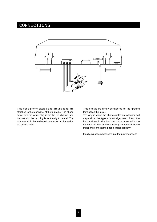# CONNECTIONS



This set's phono cables and ground lead are attached to the rear panel of the turntable. The phono cable with the white plug is for the left channel and the one with the red plug is for the right channel. The thin wire with the Y-shaped connector at the end is the ground lead.

This should be firmly connected to the ground terminal on the mixer.

The way in which the phono cables are attached will depend on the type of cartridge used. Read the instructions in the booklet that comes with the cartridge as well as the operating instructions of the mixer and connect the phono cables properly.

Finally, plus the power cord into the power consent.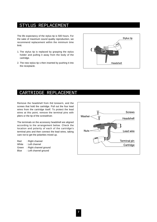### STYLUS REPLACEMENT

The life expectancy of the stylus tip is 500 hours. For the sake of maximum sound quality reproduction, we recommend replacement within the minimum time limit.

- 1. The stylus tip is replaced by grasping the stylus holder and pulling it away from the body of the cartridge.
- 2. The new stylus tip s then inserted by pushing it into the receptacle.



## CARTRIDGE REPLACEMENT

Remove the headshell from thd tonearm, and the screws that hold the cartridge. Pull out the four lead wires from the cartridge itself. To protect the lead wires at this point, remove the terminal pins with pliers or the tip of the screwdriver.

The terminals on the accessory headshell are aligned according to the arrangement below. Check the location and polarity of each of the cartridge's terminal pins and then connect the lead wires, taking care not to get the polarities mixed up.

Red : Right channel White : Left channel Green : Right channel ground Blue : Left channel ground

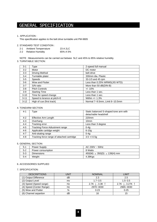# GENERAL SPECIFICATION

#### 1. APPLICATION :

This spectftcation applies to the belt drive turntable unit PM-9805

#### 2. STANDARD TEST CONDITION :

| $2 - 1$ | <b>Ambient Temperrature</b> | 23 A 2LC |
|---------|-----------------------------|----------|
| $2 - 2$ | <b>Relative Humidity</b>    | 65% A 5% |

NOTE : Measurements can be carried out betwee 5LC and 45% to 85% relative humidity.

#### 3. TURNTABLE SECTION:

| $3 - 1$  | Type                        | 2-speed full manual            |
|----------|-----------------------------|--------------------------------|
| $3 - 2$  | Motor                       | DC motor                       |
| $3 - 3$  | Driving Method              | belt drive                     |
| $3 - 4$  | Turntable plater            | 330mm dia. Plastic             |
| $3 - 5$  | <b>Speeds</b>               | 33-1/3 and 45 rpm              |
| $3-6$    | Wow and Flutter             | Less than 0.25% WRMS(JIS WTD)  |
| $3 - 7$  | S/N ratio                   | More than 50 dB(DIN-B)         |
| $3 - 8$  | <b>Pitch Controls</b>       | $+/- 10\%$                     |
| $3-9$    | <b>Starting Time</b>        | Less than 1 sec.               |
| $3 - 10$ | Time for speed change       | Less than 1 sec.               |
| $3 - 11$ | Speed to lerance at pitch=0 | Within +/- 1.3%                |
| $3 - 12$ | High of cue (first track)   | Normal 7~9.5mm, Limit 6~10.5mm |

#### 4. TONEARM SECTION

| $4 - 1$ | Type                                       | Static balanced S-shaped tone arm with<br>detachable headshell |
|---------|--------------------------------------------|----------------------------------------------------------------|
| $4 - 2$ | Effective Arm Length                       | 220mm                                                          |
| $4 - 3$ | Overhang                                   | 10 <sub>mm</sub>                                               |
| $4 - 4$ | Tracking error                             | Less than 3 degree                                             |
| $4 - 5$ | Tracking Force Adiustment range            | $0-4q$                                                         |
| $4 - 6$ | Applicable cartidge weight                 | $6-10q$                                                        |
| $4 - 7$ | Anti-skating range                         | $0-4q$                                                         |
| $4 - 8$ | Tracking force range of attached cartridge | $3.5 + (-0.5)$                                                 |

#### 5. GENERAL SECTION:

| $5-1$   | Power Supply      | AC 230V $\sim$ 50Hz                     |
|---------|-------------------|-----------------------------------------|
| $5 - 2$ | Power consumption | 8 Watts                                 |
| 5-3     | <b>Dimensions</b> | $450(W) \times 350(D) \times 139(H)$ mm |
| $5 - 4$ | Weight            | 4.38Kgs                                 |

#### 6. ACCESSORIES SUPPLIED

#### 7. SPECIFICATION:

| <b>DESCRIPTIONS</b>      | UNIT | <b>NOMINAL</b> | LIMIT           |
|--------------------------|------|----------------|-----------------|
| (1) Output Difference    | dB   | 2.3            | 2.5             |
| (2) Output Level         | mv   | $1.7 - 3.5$    | $1.5 - 3.5$     |
| (3) Speed (Speed range)  | Hz   | 2.7K ↓, 3.3K ↑ | 2.7K J, 3.27K 1 |
| (4) Speed (Center Range) | Hz   | 2970~3030      | 2965~3030       |
| (5) Wow and Flutter      | %    | 0.23           | 0.25            |
| (6) Channel separtion    | dB   | 16             | 15              |